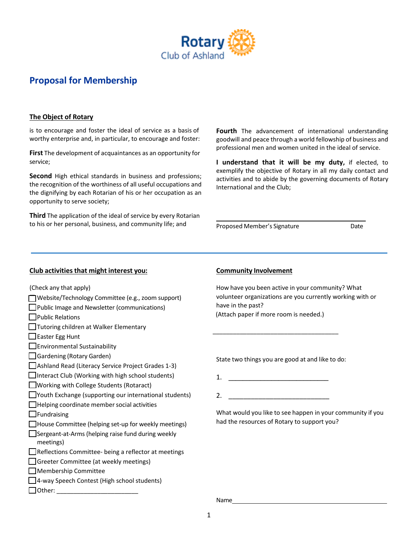

# **Proposal for Membership**

## **The Object of Rotary**

is to encourage and foster the ideal of service as a basis of worthy enterprise and, in particular, to encourage and foster:

**First** The development of acquaintances as an opportunity for service;

**Second** High ethical standards in business and professions; the recognition of the worthiness of all useful occupations and the dignifying by each Rotarian of his or her occupation as an opportunity to serve society;

**Third** The application of the ideal of service by every Rotarian to his or her personal, business, and community life; and

**Fourth** The advancement of international understanding goodwill and peace through a world fellowship of business and professional men and women united in the ideal of service.

**I understand that it will be my duty,** if elected, to exemplify the objective of Rotary in all my daily contact and activities and to abide by the governing documents of Rotary International and the Club;

Proposed Member's Signature **Date** 

### **Club activities that might interest you: Community Involvement**

(Check any that apply)

- Website/Technology Committee (e.g., zoom support)
- Public Image and Newsletter (communications)
- **Public Relations**
- Tutoring children at Walker Elementary
- $\Box$  Easter Egg Hunt
- Environmental Sustainability
- Gardening (Rotary Garden)
- Ashland Read (Literacy Service Project Grades 1-3)
- $\Box$ Interact Club (Working with high school students)
- Working with College Students (Rotaract)
- Youth Exchange (supporting our international students)
- $\Box$  Helping coordinate member social activities
- $\Box$ Fundraising
- House Committee (helping set-up for weekly meetings)
- Sergeant-at-Arms (helping raise fund during weekly meetings)
- Reflections Committee- being a reflector at meetings
- Greeter Committee (at weekly meetings)
- Membership Committee
- □ 4-way Speech Contest (High school students)
- Other: \_\_\_\_\_\_\_\_\_\_\_\_\_\_\_\_\_\_\_\_\_\_\_\_

How have you been active in your community? What volunteer organizations are you currently working with or have in the past? (Attach paper if more room is needed.)

State two things you are good at and like to do:

1. \_\_\_\_\_\_\_\_\_\_\_\_\_\_\_\_\_\_\_\_\_\_\_\_\_\_\_\_

\_\_\_\_\_\_\_\_\_\_\_\_\_\_\_\_\_\_\_\_\_\_\_\_\_\_\_\_\_\_\_\_\_\_\_\_\_

2. \_\_\_\_\_\_\_\_\_\_\_\_\_\_\_\_\_\_\_\_\_\_\_\_\_\_\_

What would you like to see happen in your community if you had the resources of Rotary to support you?

Name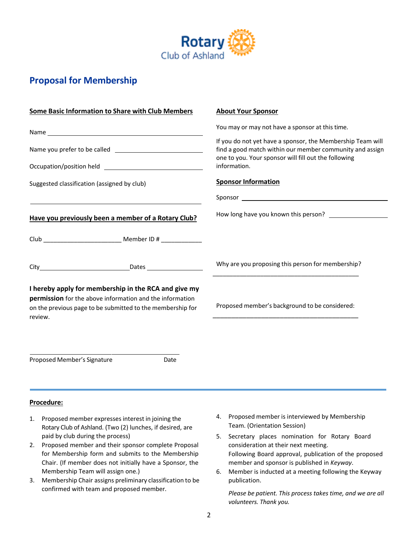

# **Proposal for Membership**

| Some Basic Information to Share with Club Members                                                                                 | <b>About Your Sponsor</b>                                                                                                                                                      |
|-----------------------------------------------------------------------------------------------------------------------------------|--------------------------------------------------------------------------------------------------------------------------------------------------------------------------------|
|                                                                                                                                   | You may or may not have a sponsor at this time.                                                                                                                                |
|                                                                                                                                   | If you do not yet have a sponsor, the Membership Team will<br>find a good match within our member community and assign<br>one to you. Your sponsor will fill out the following |
|                                                                                                                                   | information.                                                                                                                                                                   |
| Suggested classification (assigned by club)                                                                                       | <b>Sponsor Information</b>                                                                                                                                                     |
| the control of the control of the control of the control of the control of the control of                                         |                                                                                                                                                                                |
| Have you previously been a member of a Rotary Club?                                                                               | How long have you known this person?                                                                                                                                           |
|                                                                                                                                   |                                                                                                                                                                                |
|                                                                                                                                   | Why are you proposing this person for membership?                                                                                                                              |
| I hereby apply for membership in the RCA and give my                                                                              |                                                                                                                                                                                |
| permission for the above information and the information<br>on the previous page to be submitted to the membership for<br>review. | Proposed member's background to be considered:                                                                                                                                 |
|                                                                                                                                   |                                                                                                                                                                                |
| Proposed Member's Signature<br>Date                                                                                               |                                                                                                                                                                                |
|                                                                                                                                   |                                                                                                                                                                                |
| Procedure:                                                                                                                        |                                                                                                                                                                                |

- 1. Proposed member expressesinterest in joining the Rotary Club of Ashland. (Two (2) lunches, if desired, are paid by club during the process)
- 2. Proposed member and their sponsor complete Proposal for Membership form and submits to the Membership Chair. (If member does not initially have a Sponsor, the Membership Team will assign one.)
- 3. Membership Chair assigns preliminary classification to be confirmed with team and proposed member.
- 4. Proposed member is interviewed by Membership Team. (Orientation Session)
- 5. Secretary places nomination for Rotary Board consideration at their next meeting. Following Board approval, publication of the proposed member and sponsor is published in *Keyway*.
- 6. Member is inducted at a meeting following the Keyway publication.

*Please be patient. This process takes time, and we are all volunteers. Thank you.*